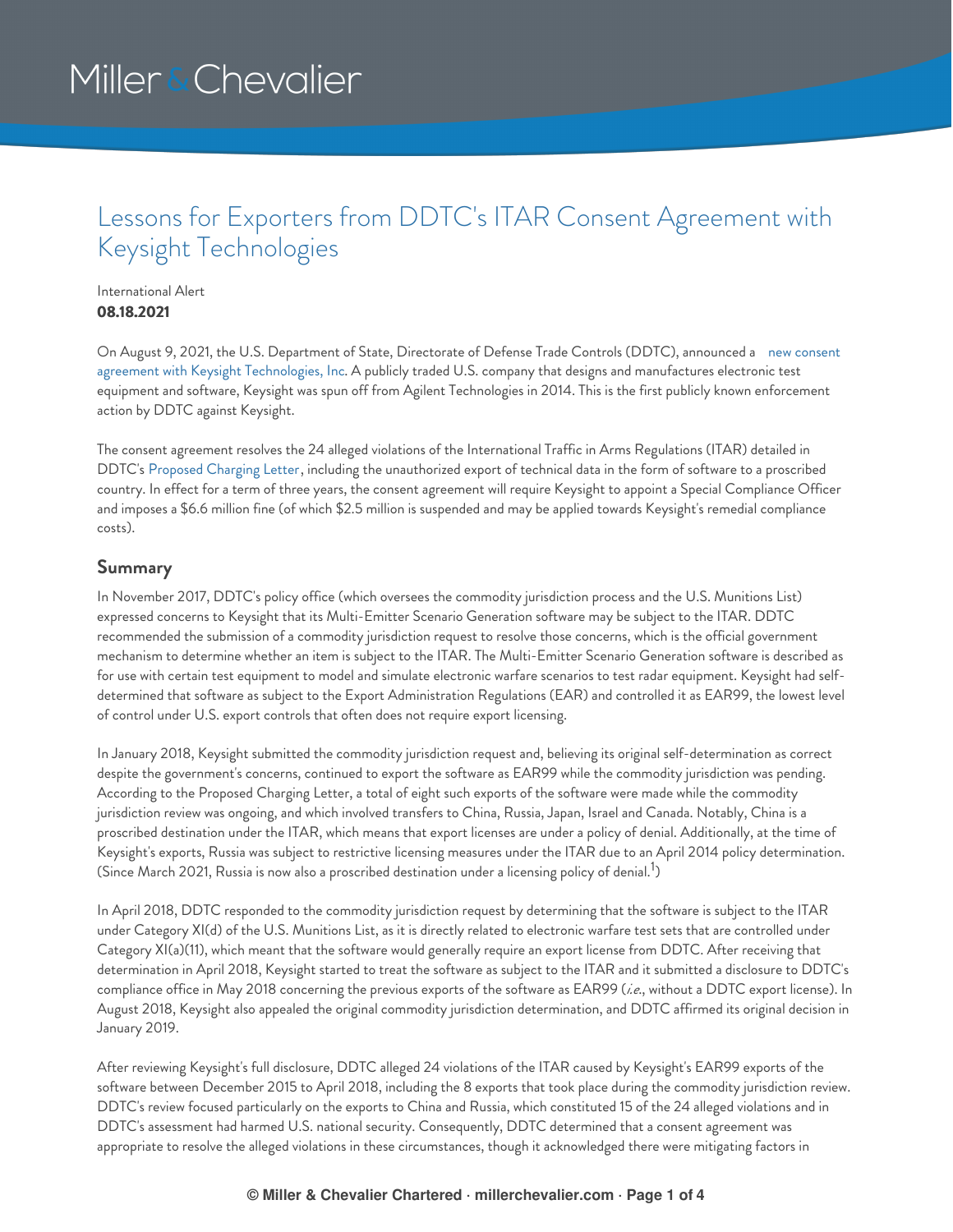### Lessons for Exporters from DDTC's ITAR Consent Agreement with Keysight Technologies

International Alert **08.18.2021**

On August 9, 2021, the U.S. Department of State, Directorate of Defense Trade Controls (DDTC), announced a new consent agreement with Keysight Technologies, Inc. A publicly traded U.S. company that designs and [manufactures](https://www.pmddtc.state.gov/sys_attachment.do?sysparm_referring_url=tear_off&view=true&sys_id=98ebc0e51b35b0d0c6c3866ae54bcb80) electronic test equipment and software, Keysight was spun off from Agilent Technologies in 2014. This is the first publicly known enforcement action by DDTC against Keysight.

The consent agreement resolves the 24 alleged violations of the International Traffic in Arms Regulations (ITAR) detailed in DDTC's [Proposed](https://www.pmddtc.state.gov/sys_attachment.do?sysparm_referring_url=tear_off&view=true&sys_id=84eb00e51b35b0d0c6c3866ae54bcb17) Charging Letter, including the unauthorized export of technical data in the form of software to a proscribed country. In effect for a term of three years, the consent agreement will require Keysight to appoint a Special Compliance Officer and imposes a \$6.6 million fine (of which \$2.5 million is suspended and may be applied towards Keysight's remedial compliance costs).

### **Summary**

In November 2017, DDTC's policy office (which oversees the commodity jurisdiction process and the U.S. Munitions List) expressed concerns to Keysight that its Multi-Emitter Scenario Generation software may be subject to the ITAR. DDTC recommended the submission of a commodity jurisdiction request to resolve those concerns, which is the official government mechanism to determine whether an item is subject to the ITAR. The Multi-Emitter Scenario Generation software is described as for use with certain test equipment to model and simulate electronic warfare scenarios to test radar equipment. Keysight had selfdetermined that software as subject to the Export Administration Regulations (EAR) and controlled it as EAR99, the lowest level of control under U.S. export controls that often does not require export licensing.

In January 2018, Keysight submitted the commodity jurisdiction request and, believing its original self-determination as correct despite the government's concerns, continued to export the software as EAR99 while the commodity jurisdiction was pending. According to the Proposed Charging Letter, a total of eight such exports of the software were made while the commodity jurisdiction review was ongoing, and which involved transfers to China, Russia, Japan, Israel and Canada. Notably, China is a proscribed destination under the ITAR, which means that export licenses are under a policy of denial. Additionally, at the time of Keysight's exports, Russia was subject to restrictive licensing measures under the ITAR due to an April 2014 policy determination. (Since March 2021, Russia is now also a proscribed destination under a licensing policy of denial.<sup>1</sup>)

In April 2018, DDTC responded to the commodity jurisdiction request by determining that the software is subject to the ITAR under Category XI(d) of the U.S. Munitions List, as it is directly related to electronic warfare test sets that are controlled under Category XI(a)(11), which meant that the software would generally require an export license from DDTC. After receiving that determination in April 2018, Keysight started to treat the software as subject to the ITAR and it submitted a disclosure to DDTC's compliance office in May 2018 concerning the previous exports of the software as EAR99 (*i.e*., without a DDTC export license). In August 2018, Keysight also appealed the original commodity jurisdiction determination, and DDTC affirmed its original decision in January 2019.

After reviewing Keysight's full disclosure, DDTC alleged 24 violations of the ITAR caused by Keysight's EAR99 exports of the software between December 2015 to April 2018, including the 8 exports that took place during the commodity jurisdiction review. DDTC's review focused particularly on the exports to China and Russia, which constituted 15 of the 24 alleged violations and in DDTC's assessment had harmed U.S. national security. Consequently, DDTC determined that a consent agreement was appropriate to resolve the alleged violations in these circumstances, though it acknowledged there were mitigating factors in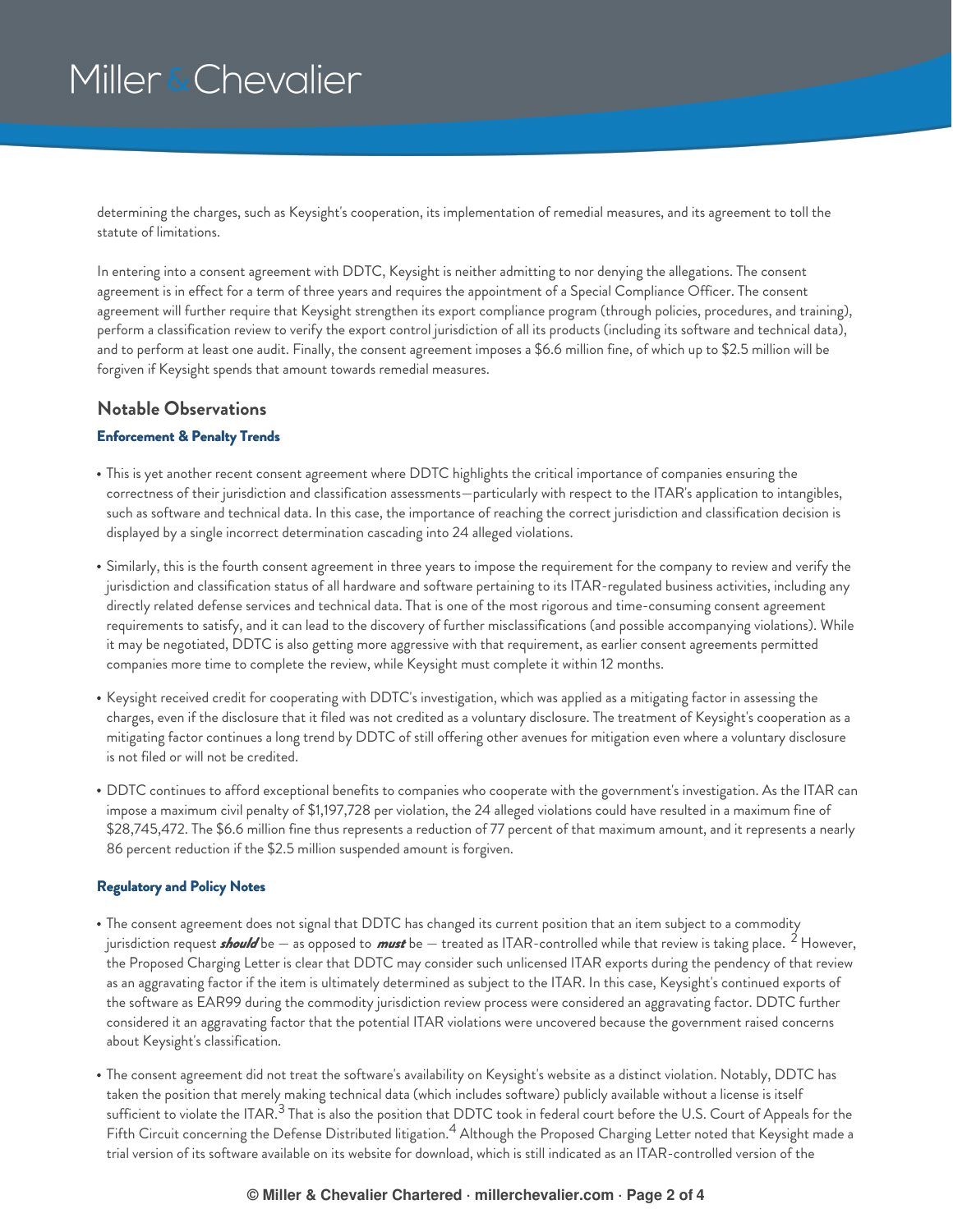determining the charges, such as Keysight's cooperation, its implementation of remedial measures, and its agreement to toll the statute of limitations.

In entering into a consent agreement with DDTC, Keysight is neither admitting to nor denying the allegations. The consent agreement is in effect for a term of three years and requires the appointment of a Special Compliance Officer. The consent agreement will further require that Keysight strengthen its export compliance program (through policies, procedures, and training), perform a classification review to verify the export control jurisdiction of all its products (including its software and technical data), and to perform at least one audit. Finally, the consent agreement imposes a \$6.6 million fine, of which up to \$2.5 million will be forgiven if Keysight spends that amount towards remedial measures.

### **Notable Observations**

#### **Enforcement & Penalty Trends**

- This is yet another recent consent agreement where DDTC highlights the critical importance of companies ensuring the correctness of their jurisdiction and classification assessments—particularly with respect to the ITAR's application to intangibles, such as software and technical data. In this case, the importance of reaching the correct jurisdiction and classification decision is displayed by a single incorrect determination cascading into 24 alleged violations.
- Similarly, this is the fourth consent agreement in three years to impose the requirement for the company to review and verify the jurisdiction and classification status of all hardware and software pertaining to its ITAR-regulated business activities, including any directly related defense services and technical data. That is one of the most rigorous and time-consuming consent agreement requirements to satisfy, and it can lead to the discovery of further misclassifications (and possible accompanying violations). While it may be negotiated, DDTC is also getting more aggressive with that requirement, as earlier consent agreements permitted companies more time to complete the review, while Keysight must complete it within 12 months.
- Keysight received credit for cooperating with DDTC's investigation, which was applied as a mitigating factor in assessing the charges, even if the disclosure that it filed was not credited as a voluntary disclosure. The treatment of Keysight's cooperation as a mitigating factor continues a long trend by DDTC of still offering other avenues for mitigation even where a voluntary disclosure is not filed or will not be credited.
- DDTC continues to afford exceptional benefits to companies who cooperate with the government's investigation. As the ITAR can impose a maximum civil penalty of \$1,197,728 per violation, the 24 alleged violations could have resulted in a maximum fine of \$28,745,472. The \$6.6 million fine thus represents a reduction of 77 percent of that maximum amount, and it represents a nearly 86 percent reduction if the \$2.5 million suspended amount is forgiven.

#### **Regulatory and Policy Notes**

- The consent agreement does not signal that DDTC has changed its current position that an item subject to a commodity jurisdiction request *should* be — as opposed to *must* be — treated as ITAR-controlled while that review is taking place. <sup>2</sup> However, the Proposed Charging Letter is clear that DDTC may consider such unlicensed ITAR exports during the pendency of that review as an aggravating factor if the item is ultimately determined as subject to the ITAR. In this case, Keysight's continued exports of the software as EAR99 during the commodity jurisdiction review process were considered an aggravating factor. DDTC further considered it an aggravating factor that the potential ITAR violations were uncovered because the government raised concerns about Keysight's classification.
- The consent agreement did not treat the software's availability on Keysight's website as a distinct violation. Notably, DDTC has taken the position that merely making technical data (which includes software) publicly available without a license is itself sufficient to violate the ITAR. $^3$  That is also the position that DDTC took in federal court before the U.S. Court of Appeals for the Fifth Circuit concerning the Defense Distributed litigation. $^4$  Although the Proposed Charging Letter noted that Keysight made a trial version of its software available on its website for download, which is still indicated as an ITAR-controlled version of the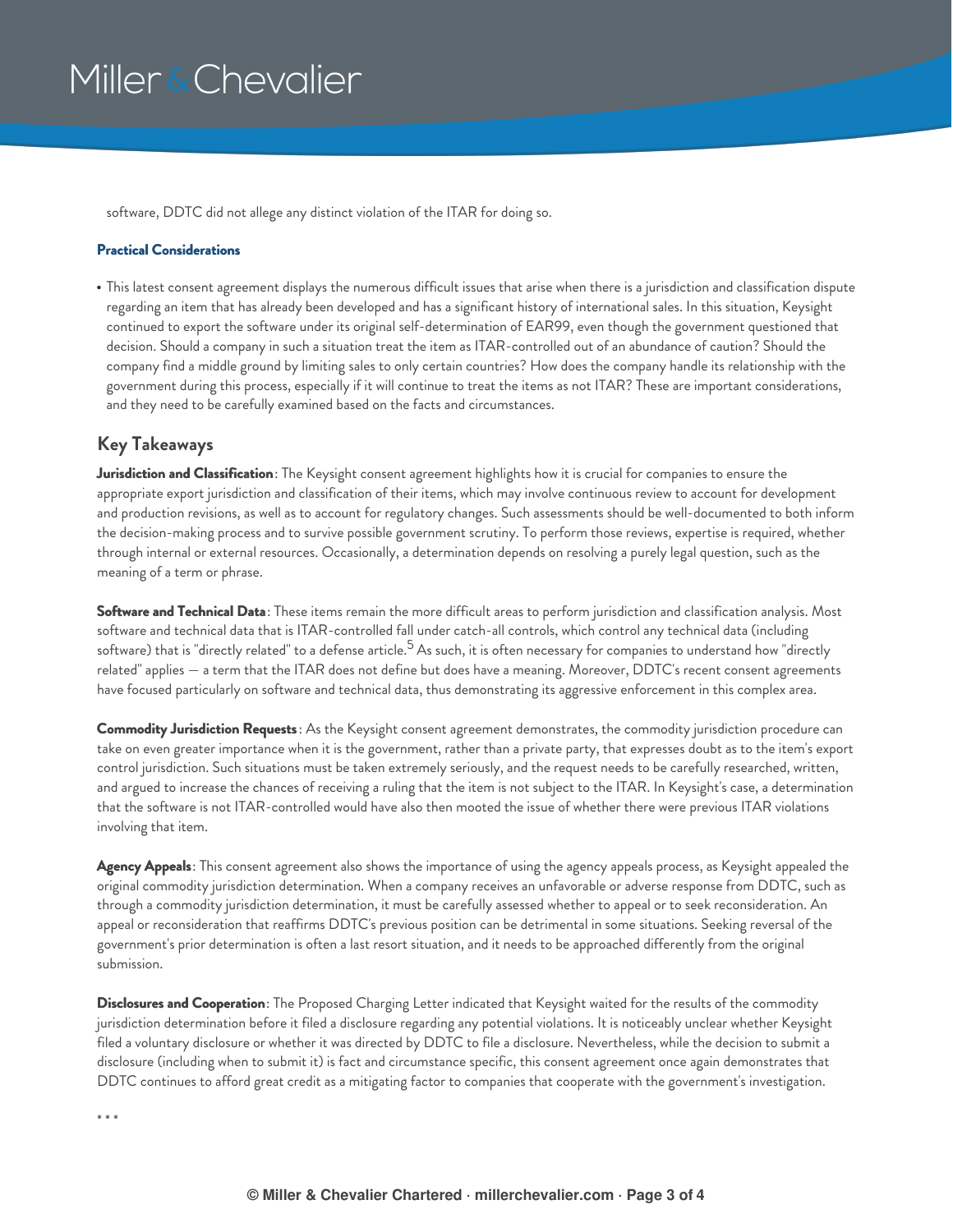software, DDTC did not allege any distinct violation of the ITAR for doing so.

#### **Practical Considerations**

This latest consent agreement displays the numerous difficult issues that arise when there is a jurisdiction and classification dispute regarding an item that has already been developed and has a significant history of international sales. In this situation, Keysight continued to export the software under its original self-determination of EAR99, even though the government questioned that decision. Should a company in such a situation treat the item as ITAR-controlled out of an abundance of caution? Should the company find a middle ground by limiting sales to only certain countries? How does the company handle its relationship with the government during this process, especially if it will continue to treat the items as not ITAR? These are important considerations, and they need to be carefully examined based on the facts and circumstances.

### **Key Takeaways**

**Jurisdiction and Classification**: The Keysight consent agreement highlights how it is crucial for companies to ensure the appropriate export jurisdiction and classification of their items, which may involve continuous review to account for development and production revisions, as well as to account for regulatory changes. Such assessments should be well-documented to both inform the decision-making process and to survive possible government scrutiny. To perform those reviews, expertise is required, whether through internal or external resources. Occasionally, a determination depends on resolving a purely legal question, such as the meaning of a term or phrase.

**Software and Technical Data**: These items remain the more difficult areas to perform jurisdiction and classification analysis. Most software and technical data that is ITAR-controlled fall under catch-all controls, which control any technical data (including software) that is "directly related" to a defense article.<sup>5</sup> As such, it is often necessary for companies to understand how "directly related" applies — a term that the ITAR does not define but does have a meaning. Moreover, DDTC's recent consent agreements have focused particularly on software and technical data, thus demonstrating its aggressive enforcement in this complex area.

**Commodity Jurisdiction Requests**: As the Keysight consent agreement demonstrates, the commodity jurisdiction procedure can take on even greater importance when it is the government, rather than a private party, that expresses doubt as to the item's export control jurisdiction. Such situations must be taken extremely seriously, and the request needs to be carefully researched, written, and argued to increase the chances of receiving a ruling that the item is not subject to the ITAR. In Keysight's case, a determination that the software is not ITAR-controlled would have also then mooted the issue of whether there were previous ITAR violations involving that item.

**Agency Appeals**: This consent agreement also shows the importance of using the agency appeals process, as Keysight appealed the original commodity jurisdiction determination. When a company receives an unfavorable or adverse response from DDTC, such as through a commodity jurisdiction determination, it must be carefully assessed whether to appeal or to seek reconsideration. An appeal or reconsideration that reaffirms DDTC's previous position can be detrimental in some situations. Seeking reversal of the government's prior determination is often a last resort situation, and it needs to be approached differently from the original submission.

**Disclosures and Cooperation**: The Proposed Charging Letter indicated that Keysight waited for the results of the commodity jurisdiction determination before it filed a disclosure regarding any potential violations. It is noticeably unclear whether Keysight filed a voluntary disclosure or whether it was directed by DDTC to file a disclosure. Nevertheless, while the decision to submit a disclosure (including when to submit it) is fact and circumstance specific, this consent agreement once again demonstrates that DDTC continues to afford great credit as a mitigating factor to companies that cooperate with the government's investigation.

\* \* \*